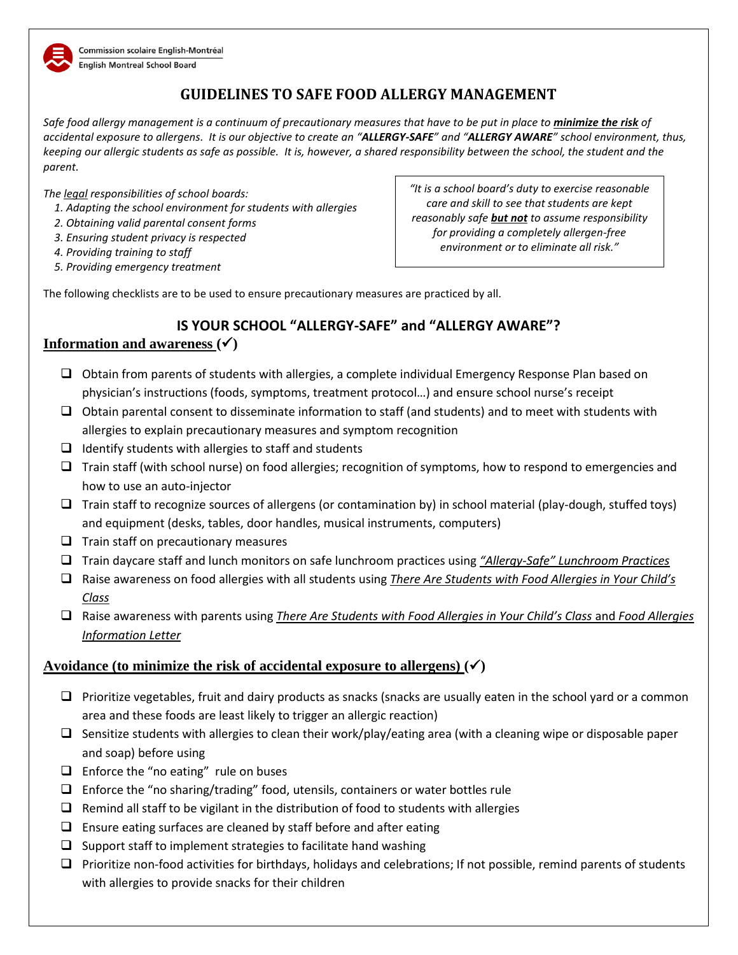

# **GUIDELINES TO SAFE FOOD ALLERGY MANAGEMENT**

*Safe food allergy management is a continuum of precautionary measures that have to be put in place to minimize the risk of accidental exposure to allergens. It is our objective to create an "ALLERGY-SAFE" and "ALLERGY AWARE" school environment, thus, keeping our allergic students as safe as possible. It is, however, a shared responsibility between the school, the student and the parent.*

*The legal responsibilities of school boards:*

- *1. Adapting the school environment for students with allergies*
- *2. Obtaining valid parental consent forms*
- *3. Ensuring student privacy is respected*
- *4. Providing training to staff*
- *5. Providing emergency treatment*

*"It is a school board's duty to exercise reasonable care and skill to see that students are kept reasonably safe but not to assume responsibility for providing a completely allergen-free environment or to eliminate all risk."*

The following checklists are to be used to ensure precautionary measures are practiced by all.

## **IS YOUR SCHOOL "ALLERGY-SAFE" and "ALLERGY AWARE"? Information and awareness**  $(\checkmark)$

- $\Box$  Obtain from parents of students with allergies, a complete individual Emergency Response Plan based on physician's instructions (foods, symptoms, treatment protocol…) and ensure school nurse's receipt
- $\Box$  Obtain parental consent to disseminate information to staff (and students) and to meet with students with allergies to explain precautionary measures and symptom recognition
- $\Box$  Identify students with allergies to staff and students
- □ Train staff (with school nurse) on food allergies; recognition of symptoms, how to respond to emergencies and how to use an auto-injector
- $\Box$  Train staff to recognize sources of allergens (or contamination by) in school material (play-dough, stuffed toys) and equipment (desks, tables, door handles, musical instruments, computers)
- $\Box$  Train staff on precautionary measures
- Train daycare staff and lunch monitors on safe lunchroom practices using *"Allergy-Safe" Lunchroom Practices*
- Raise awareness on food allergies with all students using *There Are Students with Food Allergies in Your Child's Class*
- Raise awareness with parents using *There Are Students with Food Allergies in Your Child's Class* and *Food Allergies Information Letter*

#### **Avoidance** (to minimize the risk of accidental exposure to allergens)  $(\checkmark)$

- $\Box$  Prioritize vegetables, fruit and dairy products as snacks (snacks are usually eaten in the school yard or a common area and these foods are least likely to trigger an allergic reaction)
- $\square$  Sensitize students with allergies to clean their work/play/eating area (with a cleaning wipe or disposable paper and soap) before using
- $\Box$  Enforce the "no eating" rule on buses
- $\Box$  Enforce the "no sharing/trading" food, utensils, containers or water bottles rule
- $\Box$  Remind all staff to be vigilant in the distribution of food to students with allergies
- $\Box$  Ensure eating surfaces are cleaned by staff before and after eating
- $\square$  Support staff to implement strategies to facilitate hand washing
- $\Box$  Prioritize non-food activities for birthdays, holidays and celebrations; If not possible, remind parents of students with allergies to provide snacks for their children